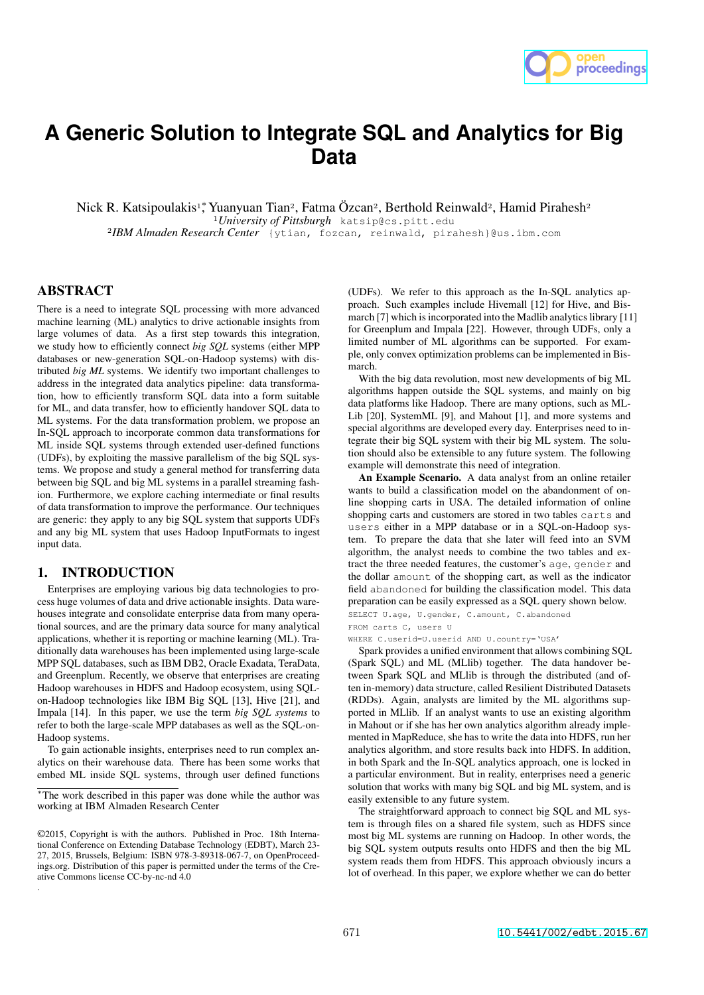

# **A Generic Solution to Integrate SQL and Analytics for Big Data**

Nick R. Katsipoulakis<sup>1</sup>, Yuanyuan Tian<sup>2</sup>, Fatma Özcan<sup>2</sup>, Berthold Reinwald<sup>2</sup>, Hamid Pirahesh<sup>2</sup> <sup>1</sup>*University of Pittsburgh* katsip@cs.pitt.edu <sup>2</sup>*IBM Almaden Research Center* {ytian, fozcan, reinwald, pirahesh}@us.ibm.com

## ABSTRACT

There is a need to integrate SQL processing with more advanced machine learning (ML) analytics to drive actionable insights from large volumes of data. As a first step towards this integration, we study how to efficiently connect *big SQL* systems (either MPP databases or new-generation SQL-on-Hadoop systems) with distributed *big ML* systems. We identify two important challenges to address in the integrated data analytics pipeline: data transformation, how to efficiently transform SQL data into a form suitable for ML, and data transfer, how to efficiently handover SQL data to ML systems. For the data transformation problem, we propose an In-SQL approach to incorporate common data transformations for ML inside SQL systems through extended user-defined functions (UDFs), by exploiting the massive parallelism of the big SQL systems. We propose and study a general method for transferring data between big SQL and big ML systems in a parallel streaming fashion. Furthermore, we explore caching intermediate or final results of data transformation to improve the performance. Our techniques are generic: they apply to any big SQL system that supports UDFs and any big ML system that uses Hadoop InputFormats to ingest input data.

### 1. INTRODUCTION

.

Enterprises are employing various big data technologies to process huge volumes of data and drive actionable insights. Data warehouses integrate and consolidate enterprise data from many operational sources, and are the primary data source for many analytical applications, whether it is reporting or machine learning (ML). Traditionally data warehouses has been implemented using large-scale MPP SQL databases, such as IBM DB2, Oracle Exadata, TeraData, and Greenplum. Recently, we observe that enterprises are creating Hadoop warehouses in HDFS and Hadoop ecosystem, using SQLon-Hadoop technologies like IBM Big SQL [13], Hive [21], and Impala [14]. In this paper, we use the term *big SQL systems* to refer to both the large-scale MPP databases as well as the SQL-on-Hadoop systems.

To gain actionable insights, enterprises need to run complex analytics on their warehouse data. There has been some works that embed ML inside SQL systems, through user defined functions (UDFs). We refer to this approach as the In-SQL analytics approach. Such examples include Hivemall [12] for Hive, and Bismarch [7] which is incorporated into the Madlib analytics library [11] for Greenplum and Impala [22]. However, through UDFs, only a limited number of ML algorithms can be supported. For example, only convex optimization problems can be implemented in Bismarch.

With the big data revolution, most new developments of big ML algorithms happen outside the SQL systems, and mainly on big data platforms like Hadoop. There are many options, such as ML-Lib [20], SystemML [9], and Mahout [1], and more systems and special algorithms are developed every day. Enterprises need to integrate their big SQL system with their big ML system. The solution should also be extensible to any future system. The following example will demonstrate this need of integration.

An Example Scenario. A data analyst from an online retailer wants to build a classification model on the abandonment of online shopping carts in USA. The detailed information of online shopping carts and customers are stored in two tables carts and users either in a MPP database or in a SQL-on-Hadoop system. To prepare the data that she later will feed into an SVM algorithm, the analyst needs to combine the two tables and extract the three needed features, the customer's age, gender and the dollar amount of the shopping cart, as well as the indicator field abandoned for building the classification model. This data preparation can be easily expressed as a SQL query shown below. SELECT U.age, U.gender, C.amount, C.abandoned

FROM carts C, users U

WHERE C.userid=U.userid AND U.country='USA'

Spark provides a unified environment that allows combining SQL (Spark SQL) and ML (MLlib) together. The data handover between Spark SQL and MLlib is through the distributed (and often in-memory) data structure, called Resilient Distributed Datasets (RDDs). Again, analysts are limited by the ML algorithms supported in MLlib. If an analyst wants to use an existing algorithm in Mahout or if she has her own analytics algorithm already implemented in MapReduce, she has to write the data into HDFS, run her analytics algorithm, and store results back into HDFS. In addition, in both Spark and the In-SQL analytics approach, one is locked in a particular environment. But in reality, enterprises need a generic solution that works with many big SQL and big ML system, and is easily extensible to any future system.

The straightforward approach to connect big SQL and ML system is through files on a shared file system, such as HDFS since most big ML systems are running on Hadoop. In other words, the big SQL system outputs results onto HDFS and then the big ML system reads them from HDFS. This approach obviously incurs a lot of overhead. In this paper, we explore whether we can do better

<sup>⇤</sup>The work described in this paper was done while the author was working at IBM Almaden Research Center

<sup>©2015,</sup> Copyright is with the authors. Published in Proc. 18th International Conference on Extending Database Technology (EDBT), March 23- 27, 2015, Brussels, Belgium: ISBN 978-3-89318-067-7, on OpenProceedings.org. Distribution of this paper is permitted under the terms of the Creative Commons license CC-by-nc-nd 4.0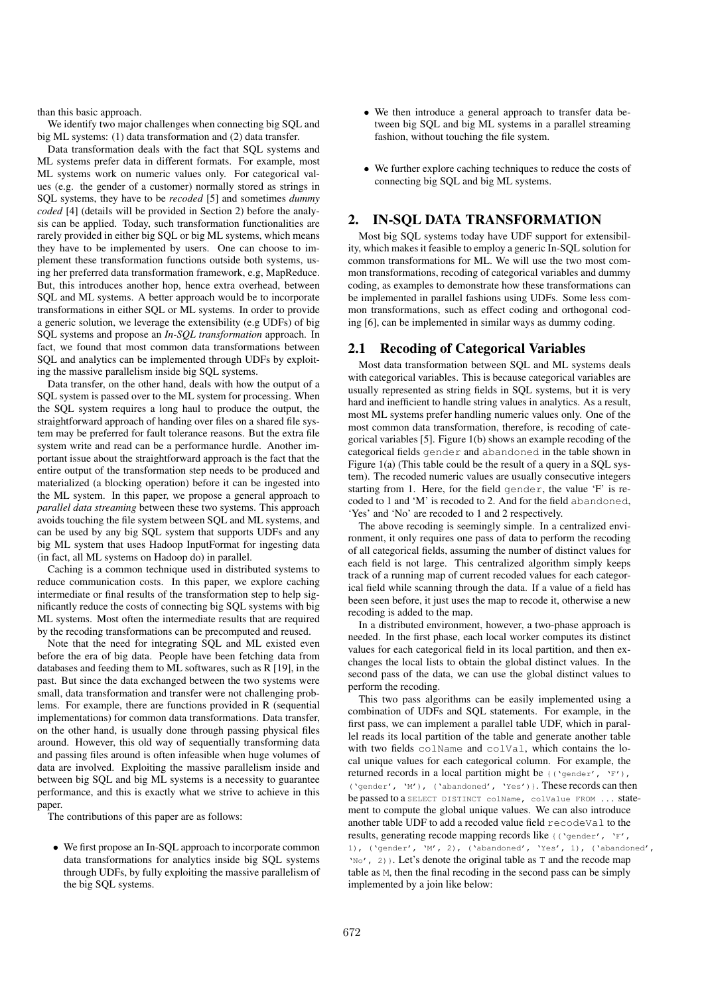than this basic approach.

We identify two major challenges when connecting big SQL and big ML systems: (1) data transformation and (2) data transfer.

Data transformation deals with the fact that SQL systems and ML systems prefer data in different formats. For example, most ML systems work on numeric values only. For categorical values (e.g. the gender of a customer) normally stored as strings in SQL systems, they have to be *recoded* [5] and sometimes *dummy coded* [4] (details will be provided in Section 2) before the analysis can be applied. Today, such transformation functionalities are rarely provided in either big SQL or big ML systems, which means they have to be implemented by users. One can choose to implement these transformation functions outside both systems, using her preferred data transformation framework, e.g, MapReduce. But, this introduces another hop, hence extra overhead, between SQL and ML systems. A better approach would be to incorporate transformations in either SQL or ML systems. In order to provide a generic solution, we leverage the extensibility (e.g UDFs) of big SQL systems and propose an *In-SQL transformation* approach. In fact, we found that most common data transformations between SQL and analytics can be implemented through UDFs by exploiting the massive parallelism inside big SQL systems.

Data transfer, on the other hand, deals with how the output of a SQL system is passed over to the ML system for processing. When the SQL system requires a long haul to produce the output, the straightforward approach of handing over files on a shared file system may be preferred for fault tolerance reasons. But the extra file system write and read can be a performance hurdle. Another important issue about the straightforward approach is the fact that the entire output of the transformation step needs to be produced and materialized (a blocking operation) before it can be ingested into the ML system. In this paper, we propose a general approach to *parallel data streaming* between these two systems. This approach avoids touching the file system between SQL and ML systems, and can be used by any big SQL system that supports UDFs and any big ML system that uses Hadoop InputFormat for ingesting data (in fact, all ML systems on Hadoop do) in parallel.

Caching is a common technique used in distributed systems to reduce communication costs. In this paper, we explore caching intermediate or final results of the transformation step to help significantly reduce the costs of connecting big SQL systems with big ML systems. Most often the intermediate results that are required by the recoding transformations can be precomputed and reused.

Note that the need for integrating SQL and ML existed even before the era of big data. People have been fetching data from databases and feeding them to ML softwares, such as R [19], in the past. But since the data exchanged between the two systems were small, data transformation and transfer were not challenging problems. For example, there are functions provided in R (sequential implementations) for common data transformations. Data transfer, on the other hand, is usually done through passing physical files around. However, this old way of sequentially transforming data and passing files around is often infeasible when huge volumes of data are involved. Exploiting the massive parallelism inside and between big SQL and big ML systems is a necessity to guarantee performance, and this is exactly what we strive to achieve in this paper.

The contributions of this paper are as follows:

*•* We first propose an In-SQL approach to incorporate common data transformations for analytics inside big SQL systems through UDFs, by fully exploiting the massive parallelism of the big SQL systems.

- We then introduce a general approach to transfer data between big SQL and big ML systems in a parallel streaming fashion, without touching the file system.
- *•* We further explore caching techniques to reduce the costs of connecting big SQL and big ML systems.

## 2. IN-SQL DATA TRANSFORMATION

Most big SQL systems today have UDF support for extensibility, which makes it feasible to employ a generic In-SQL solution for common transformations for ML. We will use the two most common transformations, recoding of categorical variables and dummy coding, as examples to demonstrate how these transformations can be implemented in parallel fashions using UDFs. Some less common transformations, such as effect coding and orthogonal coding [6], can be implemented in similar ways as dummy coding.

## 2.1 Recoding of Categorical Variables

Most data transformation between SQL and ML systems deals with categorical variables. This is because categorical variables are usually represented as string fields in SQL systems, but it is very hard and inefficient to handle string values in analytics. As a result, most ML systems prefer handling numeric values only. One of the most common data transformation, therefore, is recoding of categorical variables [5]. Figure 1(b) shows an example recoding of the categorical fields gender and abandoned in the table shown in Figure 1(a) (This table could be the result of a query in a SQL system). The recoded numeric values are usually consecutive integers starting from 1. Here, for the field gender, the value 'F' is recoded to 1 and 'M' is recoded to 2. And for the field abandoned, 'Yes' and 'No' are recoded to 1 and 2 respectively.

The above recoding is seemingly simple. In a centralized environment, it only requires one pass of data to perform the recoding of all categorical fields, assuming the number of distinct values for each field is not large. This centralized algorithm simply keeps track of a running map of current recoded values for each categorical field while scanning through the data. If a value of a field has been seen before, it just uses the map to recode it, otherwise a new recoding is added to the map.

In a distributed environment, however, a two-phase approach is needed. In the first phase, each local worker computes its distinct values for each categorical field in its local partition, and then exchanges the local lists to obtain the global distinct values. In the second pass of the data, we can use the global distinct values to perform the recoding.

This two pass algorithms can be easily implemented using a combination of UDFs and SQL statements. For example, in the first pass, we can implement a parallel table UDF, which in parallel reads its local partition of the table and generate another table with two fields colName and colVal, which contains the local unique values for each categorical column. For example, the returned records in a local partition might be {('gender', 'F'), ('gender', 'M'), ('abandoned', 'Yes')}. These records can then be passed to a SELECT DISTINCT colName, colValue FROM ... statement to compute the global unique values. We can also introduce another table UDF to add a recoded value field recodeVal to the results, generating recode mapping records like {('gender', 'F', 1), ('gender', 'M', 2), ('abandoned', 'Yes', 1), ('abandoned', 'No', 2)}. Let's denote the original table as T and the recode map table as M, then the final recoding in the second pass can be simply implemented by a join like below: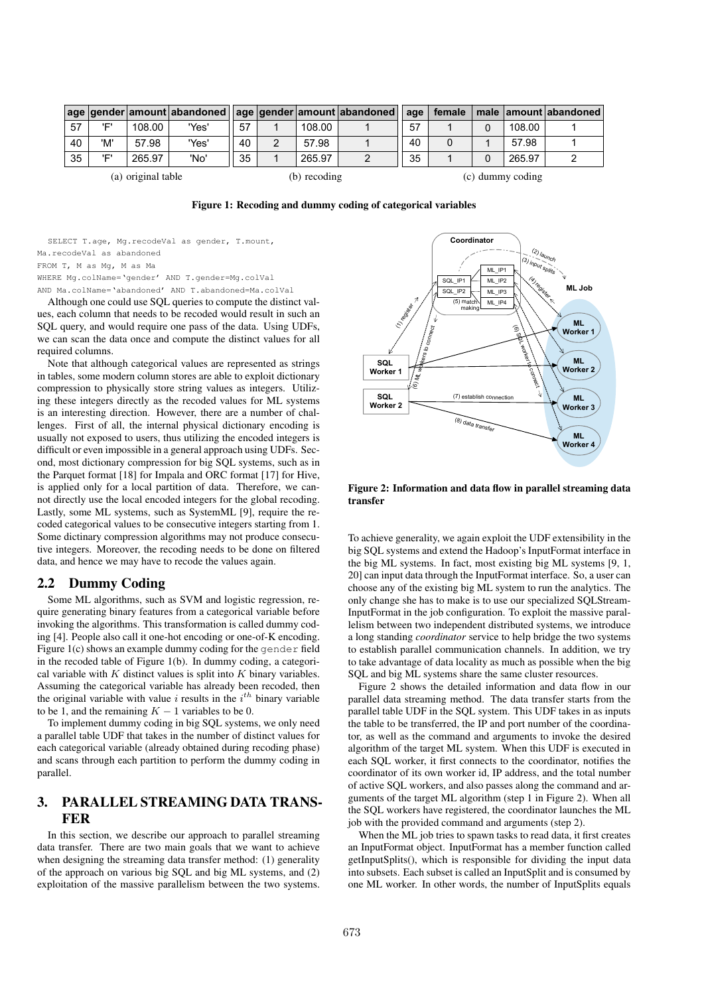|                    |     |        |       |    |              |        | age   gender   amount   abandoned     age   gender   amount   abandoned | age | female           |  |        | male amount abandoned |  |
|--------------------|-----|--------|-------|----|--------------|--------|-------------------------------------------------------------------------|-----|------------------|--|--------|-----------------------|--|
| 57                 | יםי | 108.00 | 'Yes' | 57 |              | 108.00 |                                                                         | 57  |                  |  | 108.00 |                       |  |
| 40                 | 'M' | 57.98  | 'Yes' | 40 |              | 57.98  |                                                                         | 40  | 0                |  | 57.98  |                       |  |
| 35                 | יםי | 265.97 | 'No'  | 35 |              | 265.97 | 2                                                                       | 35  |                  |  | 265.97 |                       |  |
| (a) original table |     |        |       |    | (b) recoding |        |                                                                         |     | (c) dummy coding |  |        |                       |  |

Figure 1: Recoding and dummy coding of categorical variables

SELECT T.age, Mg.recodeVal as gender, T.mount,

Ma.recodeVal as abandoned

FROM T, M as Mg, M as Ma

WHERE Mg.colName='gender' AND T.gender=Mg.colVal

AND Ma.colName='abandoned' AND T.abandoned=Ma.colVal

Although one could use SQL queries to compute the distinct values, each column that needs to be recoded would result in such an SQL query, and would require one pass of the data. Using UDFs, we can scan the data once and compute the distinct values for all required columns.

Note that although categorical values are represented as strings in tables, some modern column stores are able to exploit dictionary compression to physically store string values as integers. Utilizing these integers directly as the recoded values for ML systems is an interesting direction. However, there are a number of challenges. First of all, the internal physical dictionary encoding is usually not exposed to users, thus utilizing the encoded integers is difficult or even impossible in a general approach using UDFs. Second, most dictionary compression for big SQL systems, such as in the Parquet format [18] for Impala and ORC format [17] for Hive, is applied only for a local partition of data. Therefore, we cannot directly use the local encoded integers for the global recoding. Lastly, some ML systems, such as SystemML [9], require the recoded categorical values to be consecutive integers starting from 1. Some dictinary compression algorithms may not produce consecutive integers. Moreover, the recoding needs to be done on filtered data, and hence we may have to recode the values again.

#### 2.2 Dummy Coding

Some ML algorithms, such as SVM and logistic regression, require generating binary features from a categorical variable before invoking the algorithms. This transformation is called dummy coding [4]. People also call it one-hot encoding or one-of-K encoding. Figure 1(c) shows an example dummy coding for the gender field in the recoded table of Figure 1(b). In dummy coding, a categorical variable with *K* distinct values is split into *K* binary variables. Assuming the categorical variable has already been recoded, then the original variable with value  $i$  results in the  $i<sup>th</sup>$  binary variable to be 1, and the remaining  $K - 1$  variables to be 0.

To implement dummy coding in big SQL systems, we only need a parallel table UDF that takes in the number of distinct values for each categorical variable (already obtained during recoding phase) and scans through each partition to perform the dummy coding in parallel.

## 3. PARALLEL STREAMING DATA TRANS-FER

In this section, we describe our approach to parallel streaming data transfer. There are two main goals that we want to achieve when designing the streaming data transfer method: (1) generality of the approach on various big SQL and big ML systems, and (2) exploitation of the massive parallelism between the two systems.



Figure 2: Information and data flow in parallel streaming data transfer

To achieve generality, we again exploit the UDF extensibility in the big SQL systems and extend the Hadoop's InputFormat interface in the big ML systems. In fact, most existing big ML systems [9, 1, 20] can input data through the InputFormat interface. So, a user can choose any of the existing big ML system to run the analytics. The only change she has to make is to use our specialized SQLStream-InputFormat in the job configuration. To exploit the massive parallelism between two independent distributed systems, we introduce a long standing *coordinator* service to help bridge the two systems to establish parallel communication channels. In addition, we try to take advantage of data locality as much as possible when the big SQL and big ML systems share the same cluster resources.

Figure 2 shows the detailed information and data flow in our parallel data streaming method. The data transfer starts from the parallel table UDF in the SQL system. This UDF takes in as inputs the table to be transferred, the IP and port number of the coordinator, as well as the command and arguments to invoke the desired algorithm of the target ML system. When this UDF is executed in each SQL worker, it first connects to the coordinator, notifies the coordinator of its own worker id, IP address, and the total number of active SQL workers, and also passes along the command and arguments of the target ML algorithm (step 1 in Figure 2). When all the SQL workers have registered, the coordinator launches the ML job with the provided command and arguments (step 2).

When the ML job tries to spawn tasks to read data, it first creates an InputFormat object. InputFormat has a member function called getInputSplits(), which is responsible for dividing the input data into subsets. Each subset is called an InputSplit and is consumed by one ML worker. In other words, the number of InputSplits equals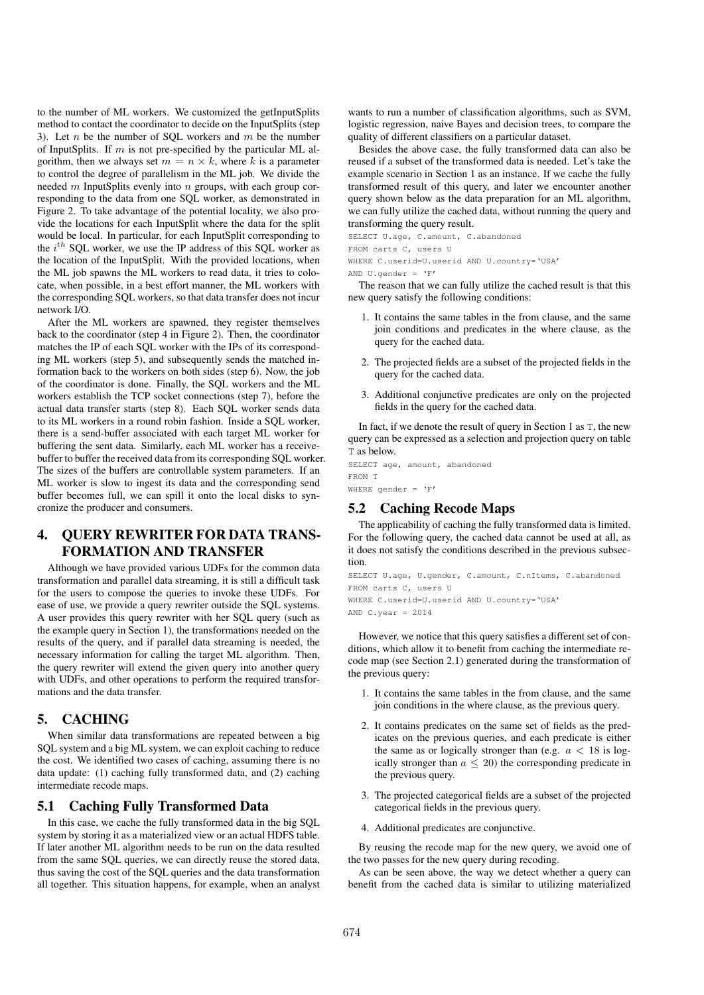to the number of ML workers. We customized the getInputSplits method to contact the coordinator to decide on the InputSplits (step 3). Let *n* be the number of SQL workers and *m* be the number of InputSplits. If *m* is not pre-specified by the particular ML algorithm, then we always set  $m = n \times k$ , where *k* is a parameter to control the degree of parallelism in the ML job. We divide the needed *m* InputSplits evenly into *n* groups, with each group corresponding to the data from one SQL worker, as demonstrated in Figure 2. To take advantage of the potential locality, we also provide the locations for each InputSplit where the data for the split would be local. In particular, for each InputSplit corresponding to the *i th* SQL worker, we use the IP address of this SQL worker as the location of the InputSplit. With the provided locations, when the ML job spawns the ML workers to read data, it tries to colocate, when possible, in a best effort manner, the ML workers with the corresponding SQL workers, so that data transfer does not incur network I/O.

After the ML workers are spawned, they register themselves back to the coordinator (step 4 in Figure 2). Then, the coordinator matches the IP of each SQL worker with the IPs of its corresponding ML workers (step 5), and subsequently sends the matched information back to the workers on both sides (step 6). Now, the job of the coordinator is done. Finally, the SQL workers and the ML workers establish the TCP socket connections (step 7), before the actual data transfer starts (step 8). Each SQL worker sends data to its ML workers in a round robin fashion. Inside a SQL worker, there is a send-buffer associated with each target ML worker for buffering the sent data. Similarly, each ML worker has a receivebuffer to buffer the received data from its corresponding SQL worker. The sizes of the buffers are controllable system parameters. If an ML worker is slow to ingest its data and the corresponding send buffer becomes full, we can spill it onto the local disks to syncronize the producer and consumers.

# 4. QUERY REWRITER FOR DATA TRANS-FORMATION AND TRANSFER

Although we have provided various UDFs for the common data transformation and parallel data streaming, it is still a difficult task for the users to compose the queries to invoke these UDFs. For ease of use, we provide a query rewriter outside the SQL systems. A user provides this query rewriter with her SQL query (such as the example query in Section 1), the transformations needed on the results of the query, and if parallel data streaming is needed, the necessary information for calling the target ML algorithm. Then, the query rewriter will extend the given query into another query with UDFs, and other operations to perform the required transformations and the data transfer.

## 5. CACHING

When similar data transformations are repeated between a big SQL system and a big ML system, we can exploit caching to reduce the cost. We identified two cases of caching, assuming there is no data update: (1) caching fully transformed data, and (2) caching intermediate recode maps.

## 5.1 Caching Fully Transformed Data

In this case, we cache the fully transformed data in the big SQL system by storing it as a materialized view or an actual HDFS table. If later another ML algorithm needs to be run on the data resulted from the same SQL queries, we can directly reuse the stored data, thus saving the cost of the SQL queries and the data transformation all together. This situation happens, for example, when an analyst

wants to run a number of classification algorithms, such as SVM, logistic regression, naive Bayes and decision trees, to compare the quality of different classifiers on a particular dataset.

Besides the above case, the fully transformed data can also be reused if a subset of the transformed data is needed. Let's take the example scenario in Section 1 as an instance. If we cache the fully transformed result of this query, and later we encounter another query shown below as the data preparation for an ML algorithm, we can fully utilize the cached data, without running the query and transforming the query result.

SELECT U.age, C.amount, C.abandoned FROM carts C, users U

WHERE C.userid=U.userid AND U.country='USA'

```
AND U gender = 'F'
```
The reason that we can fully utilize the cached result is that this new query satisfy the following conditions:

- 1. It contains the same tables in the from clause, and the same join conditions and predicates in the where clause, as the query for the cached data.
- 2. The projected fields are a subset of the projected fields in the query for the cached data.
- 3. Additional conjunctive predicates are only on the projected fields in the query for the cached data.

In fact, if we denote the result of query in Section 1 as T, the new query can be expressed as a selection and projection query on table T as below.

SELECT age, amount, abandoned FROM T WHERE gender =  $'F'$ 

# 5.2 Caching Recode Maps

The applicability of caching the fully transformed data is limited. For the following query, the cached data cannot be used at all, as it does not satisfy the conditions described in the previous subsection.

SELECT U.age, U.gender, C.amount, C.nItems, C.abandoned FROM carts C, users U WHERE C.userid=U.userid AND U.country='USA' AND  $C.year = 2014$ 

However, we notice that this query satisfies a different set of conditions, which allow it to benefit from caching the intermediate recode map (see Section 2.1) generated during the transformation of the previous query:

- 1. It contains the same tables in the from clause, and the same join conditions in the where clause, as the previous query.
- 2. It contains predicates on the same set of fields as the predicates on the previous queries, and each predicate is either the same as or logically stronger than (e.g. *a <* 18 is logically stronger than  $a \leq 20$ ) the corresponding predicate in the previous query.
- 3. The projected categorical fields are a subset of the projected categorical fields in the previous query.
- 4. Additional predicates are conjunctive.

By reusing the recode map for the new query, we avoid one of the two passes for the new query during recoding.

As can be seen above, the way we detect whether a query can benefit from the cached data is similar to utilizing materialized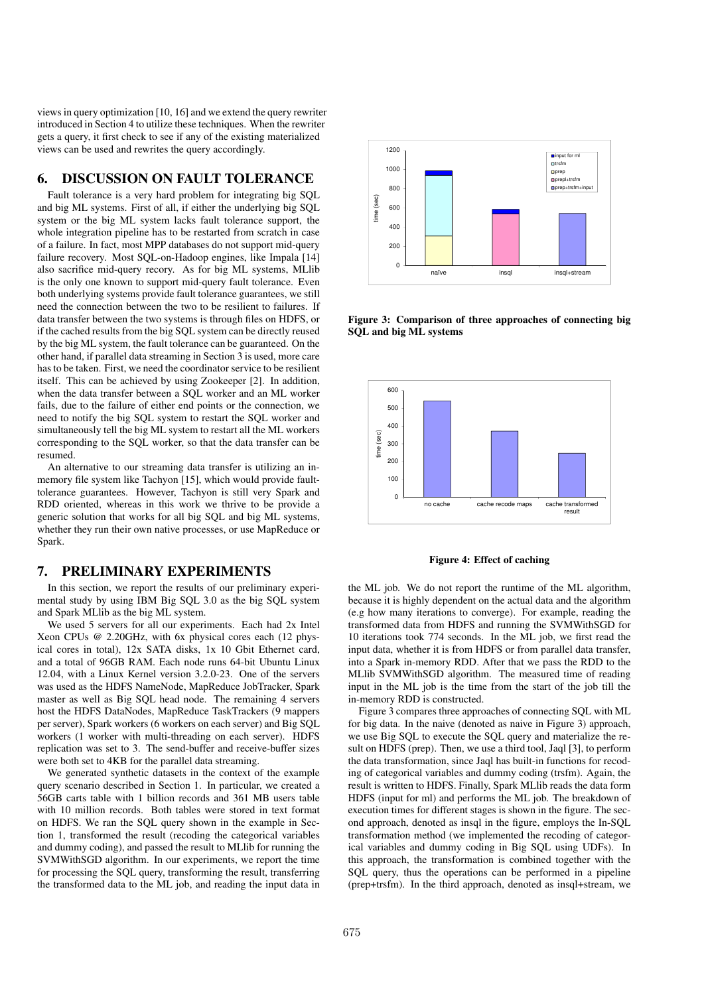views in query optimization [10, 16] and we extend the query rewriter introduced in Section 4 to utilize these techniques. When the rewriter gets a query, it first check to see if any of the existing materialized views can be used and rewrites the query accordingly.

## 6. DISCUSSION ON FAULT TOLERANCE

Fault tolerance is a very hard problem for integrating big SQL and big ML systems. First of all, if either the underlying big SQL system or the big ML system lacks fault tolerance support, the whole integration pipeline has to be restarted from scratch in case of a failure. In fact, most MPP databases do not support mid-query failure recovery. Most SQL-on-Hadoop engines, like Impala [14] also sacrifice mid-query recory. As for big ML systems, MLlib is the only one known to support mid-query fault tolerance. Even both underlying systems provide fault tolerance guarantees, we still need the connection between the two to be resilient to failures. If data transfer between the two systems is through files on HDFS, or if the cached results from the big SQL system can be directly reused by the big ML system, the fault tolerance can be guaranteed. On the other hand, if parallel data streaming in Section 3 is used, more care has to be taken. First, we need the coordinator service to be resilient itself. This can be achieved by using Zookeeper [2]. In addition, when the data transfer between a SQL worker and an ML worker fails, due to the failure of either end points or the connection, we need to notify the big SQL system to restart the SQL worker and simultaneously tell the big ML system to restart all the ML workers corresponding to the SQL worker, so that the data transfer can be resumed.

An alternative to our streaming data transfer is utilizing an inmemory file system like Tachyon [15], which would provide faulttolerance guarantees. However, Tachyon is still very Spark and RDD oriented, whereas in this work we thrive to be provide a generic solution that works for all big SQL and big ML systems, whether they run their own native processes, or use MapReduce or Spark.

## 7. PRELIMINARY EXPERIMENTS

In this section, we report the results of our preliminary experimental study by using IBM Big SQL 3.0 as the big SQL system and Spark MLlib as the big ML system.

We used 5 servers for all our experiments. Each had 2x Intel Xeon CPUs @ 2.20GHz, with 6x physical cores each (12 physical cores in total), 12x SATA disks, 1x 10 Gbit Ethernet card, and a total of 96GB RAM. Each node runs 64-bit Ubuntu Linux 12.04, with a Linux Kernel version 3.2.0-23. One of the servers was used as the HDFS NameNode, MapReduce JobTracker, Spark master as well as Big SQL head node. The remaining 4 servers host the HDFS DataNodes, MapReduce TaskTrackers (9 mappers per server), Spark workers (6 workers on each server) and Big SQL workers (1 worker with multi-threading on each server). HDFS replication was set to 3. The send-buffer and receive-buffer sizes were both set to 4KB for the parallel data streaming.

We generated synthetic datasets in the context of the example query scenario described in Section 1. In particular, we created a 56GB carts table with 1 billion records and 361 MB users table with 10 million records. Both tables were stored in text format on HDFS. We ran the SQL query shown in the example in Section 1, transformed the result (recoding the categorical variables and dummy coding), and passed the result to MLlib for running the SVMWithSGD algorithm. In our experiments, we report the time for processing the SQL query, transforming the result, transferring the transformed data to the ML job, and reading the input data in



Figure 3: Comparison of three approaches of connecting big SQL and big ML systems



Figure 4: Effect of caching

the ML job. We do not report the runtime of the ML algorithm, because it is highly dependent on the actual data and the algorithm (e.g how many iterations to converge). For example, reading the transformed data from HDFS and running the SVMWithSGD for 10 iterations took 774 seconds. In the ML job, we first read the input data, whether it is from HDFS or from parallel data transfer, into a Spark in-memory RDD. After that we pass the RDD to the MLlib SVMWithSGD algorithm. The measured time of reading input in the ML job is the time from the start of the job till the in-memory RDD is constructed.

Figure 3 compares three approaches of connecting SQL with ML for big data. In the naive (denoted as naive in Figure 3) approach, we use Big SQL to execute the SQL query and materialize the result on HDFS (prep). Then, we use a third tool, Jaql [3], to perform the data transformation, since Jaql has built-in functions for recoding of categorical variables and dummy coding (trsfm). Again, the result is written to HDFS. Finally, Spark MLlib reads the data form HDFS (input for ml) and performs the ML job. The breakdown of execution times for different stages is shown in the figure. The second approach, denoted as insql in the figure, employs the In-SQL transformation method (we implemented the recoding of categorical variables and dummy coding in Big SQL using UDFs). In this approach, the transformation is combined together with the SQL query, thus the operations can be performed in a pipeline (prep+trsfm). In the third approach, denoted as insql+stream, we